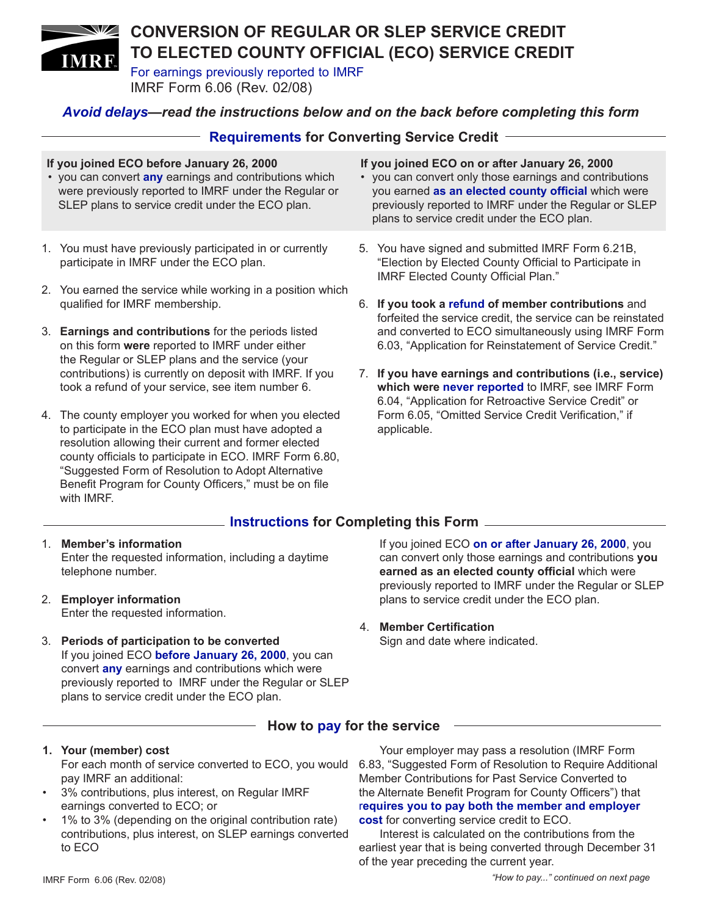### **CONVERSION OF REGULAR OR SLEP SERVICE CREDIT TO ELECTED COUNTY OFFICIAL (ECO) SERVICE CREDIT IMRF**

For earnings previously reported to IMRF

IMRF Form 6.06 (Rev. 02/08)

## *Avoid delays—read the instructions below and on the back before completing this form*

|                                                                                                                                                                                                                  | <b>Requirements for Converting Service Credit</b>                                                                                                          |  |                                                                                                                                                                                                                                                                          |  |  |  |  |
|------------------------------------------------------------------------------------------------------------------------------------------------------------------------------------------------------------------|------------------------------------------------------------------------------------------------------------------------------------------------------------|--|--------------------------------------------------------------------------------------------------------------------------------------------------------------------------------------------------------------------------------------------------------------------------|--|--|--|--|
| If you joined ECO before January 26, 2000<br>• you can convert any earnings and contributions which<br>were previously reported to IMRF under the Regular or<br>SLEP plans to service credit under the ECO plan. |                                                                                                                                                            |  | If you joined ECO on or after January 26, 2000<br>• you can convert only those earnings and contributions<br>you earned as an elected county official which were<br>previously reported to IMRF under the Regular or SLEP<br>plans to service credit under the ECO plan. |  |  |  |  |
|                                                                                                                                                                                                                  | 1. You must have previously participated in or currently<br>participate in IMRF under the ECO plan.                                                        |  | 5. You have signed and submitted IMRF Form 6.21B,<br>"Election by Elected County Official to Participate in<br><b>IMRF Elected County Official Plan."</b>                                                                                                                |  |  |  |  |
|                                                                                                                                                                                                                  | 2. You earned the service while working in a position which<br>qualified for IMRF membership.                                                              |  | 6. If you took a refund of member contributions and<br>forfeited the service credit, the service can be reinstated                                                                                                                                                       |  |  |  |  |
|                                                                                                                                                                                                                  | 3. Earnings and contributions for the periods listed<br>on this form were reported to IMRF under either<br>the Regular or SLEP plans and the service (your |  | and converted to ECO simultaneously using IMRF Form<br>6.03, "Application for Reinstatement of Service Credit."                                                                                                                                                          |  |  |  |  |
|                                                                                                                                                                                                                  | contributions) is currently on deposit with IMRF. If you                                                                                                   |  | 7. If you have earnings and contributions (i.e., service)                                                                                                                                                                                                                |  |  |  |  |

7. **If you have earnings and contributions (i.e., service) which were never reported** to IMRF, see IMRF Form 6.04, "Application for Retroactive Service Credit" or Form 6.05, "Omitted Service Credit Verification," if applicable.

## **Instructions for Completing this Form**

1. **Member's information** Enter the requested information, including a daytime telephone number.

took a refund of your service, see item number 6.

4. The county employer you worked for when you elected to participate in the ECO plan must have adopted a resolution allowing their current and former elected county officials to participate in ECO. IMRF Form 6.80, "Suggested Form of Resolution to Adopt Alternative Benefit Program for County Officers," must be on file

2. **Employer information**  Enter the requested information.

with IMRF.

3. **Periods of participation to be converted** If you joined ECO **before January 26, 2000**, you can convert **any** earnings and contributions which were previously reported to IMRF under the Regular or SLEP plans to service credit under the ECO plan.

If you joined ECO **on or after January 26, 2000**, you can convert only those earnings and contributions **you earned as an elected county official** which were previously reported to IMRF under the Regular or SLEP plans to service credit under the ECO plan.

4. **Member Certification**

Sign and date where indicated.

### **How to pay for the service**

- **1. Your (member) cost** pay IMRF an additional:
- 3% contributions, plus interest, on Regular IMRF earnings converted to ECO; or
- 1% to 3% (depending on the original contribution rate) contributions, plus interest, on SLEP earnings converted to ECO

For each month of service converted to ECO, you would 6.83, "Suggested Form of Resolution to Require Additional Your employer may pass a resolution (IMRF Form Member Contributions for Past Service Converted to the Alternate Benefit Program for County Officers") that r**equires you to pay both the member and employer cost** for converting service credit to ECO.

> Interest is calculated on the contributions from the earliest year that is being converted through December 31 of the year preceding the current year.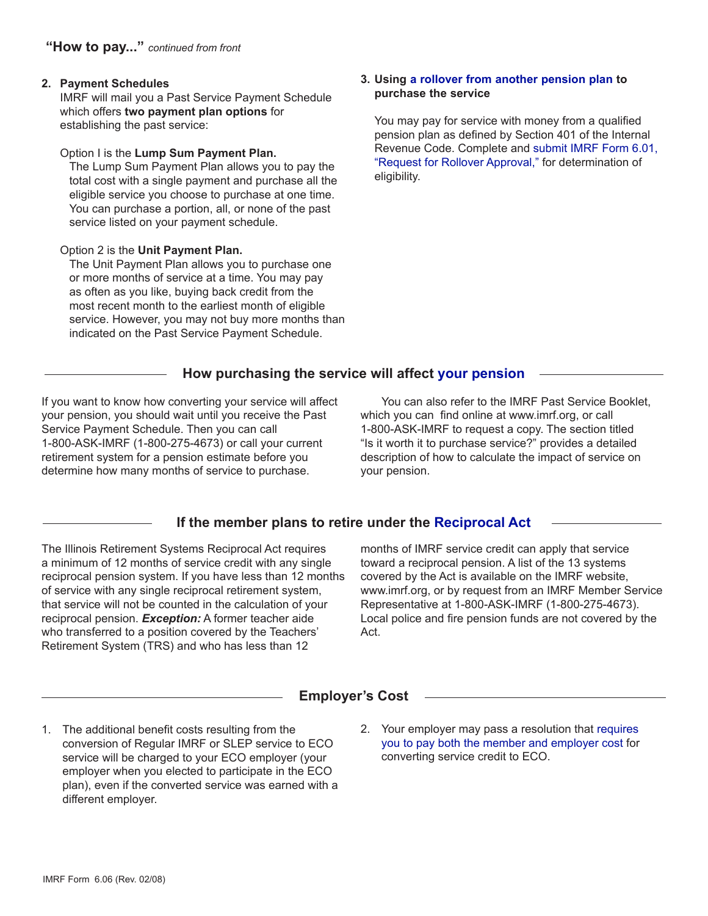### **2. Payment Schedules**

IMRF will mail you a Past Service Payment Schedule which offers **two payment plan options** for establishing the past service:

#### Option I is the **Lump Sum Payment Plan.**

The Lump Sum Payment Plan allows you to pay the total cost with a single payment and purchase all the eligible service you choose to purchase at one time. You can purchase a portion, all, or none of the past service listed on your payment schedule.

### Option 2 is the **Unit Payment Plan.**

The Unit Payment Plan allows you to purchase one or more months of service at a time. You may pay as often as you like, buying back credit from the most recent month to the earliest month of eligible service. However, you may not buy more months than indicated on the Past Service Payment Schedule.

#### **3. Using a rollover from another pension plan to purchase the service**

You may pay for service with money from a qualified pension plan as defined by Section 401 of the Internal Revenue Code. Complete and submit IMRF Form 6.01, "Request for Rollover Approval," for determination of eligibility.

## **How purchasing the service will affect your pension**

If you want to know how converting your service will affect your pension, you should wait until you receive the Past Service Payment Schedule. Then you can call 1-800-ASK-IMRF (1-800-275-4673) or call your current retirement system for a pension estimate before you determine how many months of service to purchase.

You can also refer to the IMRF Past Service Booklet, which you can find online at www.imrf.org, or call 1-800-ASK-IMRF to request a copy. The section titled "Is it worth it to purchase service?" provides a detailed description of how to calculate the impact of service on your pension.

## **If the member plans to retire under the Reciprocal Act**

The Illinois Retirement Systems Reciprocal Act requires a minimum of 12 months of service credit with any single reciprocal pension system. If you have less than 12 months of service with any single reciprocal retirement system, that service will not be counted in the calculation of your reciprocal pension. *Exception:* A former teacher aide who transferred to a position covered by the Teachers' Retirement System (TRS) and who has less than 12

months of IMRF service credit can apply that service toward a reciprocal pension. A list of the 13 systems covered by the Act is available on the IMRF website, www.imrf.org, or by request from an IMRF Member Service Representative at 1-800-ASK-IMRF (1-800-275-4673). Local police and fire pension funds are not covered by the Act.

# **Employer's Cost**

- 1. The additional benefit costs resulting from the conversion of Regular IMRF or SLEP service to ECO service will be charged to your ECO employer (your employer when you elected to participate in the ECO plan), even if the converted service was earned with a different employer.
- 2. Your employer may pass a resolution that requires you to pay both the member and employer cost for converting service credit to ECO.